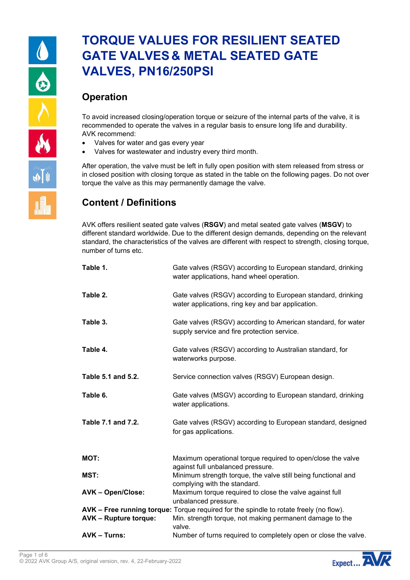# **TORQUE VALUES FOR RESILIENT SEATED GATE VALVES & METAL SEATED GATE VALVES, PN16/250PSI**

### **Operation**

To avoid increased closing/operation torque or seizure of the internal parts of the valve, it is recommended to operate the valves in a regular basis to ensure long life and durability. AVK recommend:

- Valves for water and gas every year
- Valves for wastewater and industry every third month.

After operation, the valve must be left in fully open position with stem released from stress or in closed position with closing torque as stated in the table on the following pages. Do not over torque the valve as this may permanently damage the valve.

# **Content / Definitions**

AVK offers resilient seated gate valves (**RSGV**) and metal seated gate valves (**MSGV**) to different standard worldwide. Due to the different design demands, depending on the relevant standard, the characteristics of the valves are different with respect to strength, closing torque, number of turns etc.

| Table 1.                     | Gate valves (RSGV) according to European standard, drinking<br>water applications, hand wheel operation.         |
|------------------------------|------------------------------------------------------------------------------------------------------------------|
| Table 2.                     | Gate valves (RSGV) according to European standard, drinking<br>water applications, ring key and bar application. |
| Table 3.                     | Gate valves (RSGV) according to American standard, for water<br>supply service and fire protection service.      |
| Table 4.                     | Gate valves (RSGV) according to Australian standard, for<br>waterworks purpose.                                  |
| Table 5.1 and 5.2.           | Service connection valves (RSGV) European design.                                                                |
| Table 6.                     | Gate valves (MSGV) according to European standard, drinking<br>water applications.                               |
| Table 7.1 and 7.2.           | Gate valves (RSGV) according to European standard, designed<br>for gas applications.                             |
| <b>MOT:</b>                  | Maximum operational torque required to open/close the valve<br>against full unbalanced pressure.                 |
| MST:                         | Minimum strength torque, the valve still being functional and<br>complying with the standard.                    |
| <b>AVK-Open/Close:</b>       | Maximum torque required to close the valve against full<br>unbalanced pressure.                                  |
|                              | AVK - Free running torque: Torque required for the spindle to rotate freely (no flow).                           |
| <b>AVK - Rupture torque:</b> | Min. strength torque, not making permanent damage to the<br>valve.                                               |
| <b>AVK – Turns:</b>          | Number of turns required to completely open or close the valve.                                                  |

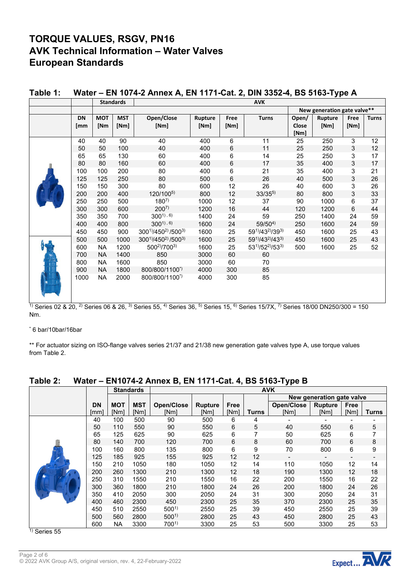# **TORQUE VALUES, RSGV, PN16 AVK Technical Information – Water Valves European Standards**

|              |           |            | <b>Standards</b> |                                                                                                                                                                                                                                                                                                              |                |      | <b>AVK</b>     |       |                             |                 |              |
|--------------|-----------|------------|------------------|--------------------------------------------------------------------------------------------------------------------------------------------------------------------------------------------------------------------------------------------------------------------------------------------------------------|----------------|------|----------------|-------|-----------------------------|-----------------|--------------|
|              |           |            |                  |                                                                                                                                                                                                                                                                                                              |                |      |                |       | New generation gate valve** |                 |              |
|              | <b>DN</b> | <b>MOT</b> | <b>MST</b>       | Open/Close                                                                                                                                                                                                                                                                                                   | <b>Rupture</b> | Free | <b>Turns</b>   | Open/ | Rupture                     | Free            | <b>Turns</b> |
|              | [mm       | [Nm        | [Nm]             | [Nm]                                                                                                                                                                                                                                                                                                         | [Nm]           | [Nm] |                | Close | [Nm]                        | [Nm]            |              |
|              |           |            |                  |                                                                                                                                                                                                                                                                                                              |                |      |                | [Nm]  |                             |                 |              |
|              | 40        | 40         | 90               | 40                                                                                                                                                                                                                                                                                                           | 400            | 6    | 11             | 25    | 250                         | 3               | 12           |
|              | 50        | 50         | 100              | 40                                                                                                                                                                                                                                                                                                           | 400            | 6    | 11             | 25    | 250                         | 3               | 12           |
|              | 65        | 65         | 130              | 60                                                                                                                                                                                                                                                                                                           | 400            | 6    | 14             | 25    | 250                         | 3               | 17           |
|              | 80        | 80         | 160              | 60                                                                                                                                                                                                                                                                                                           | 400            | 6    | 17             | 35    | 400                         | 3               | 17           |
|              | 100       | 100        | 200              | 80                                                                                                                                                                                                                                                                                                           | 400            | 6    | 21             | 35    | 400                         | 3               | 21           |
|              | 125       | 125        | 250              | 80                                                                                                                                                                                                                                                                                                           | 500            | 6    | 26             | 40    | 500                         | 3               | 26           |
|              | 150       | 150        | 300              | 80                                                                                                                                                                                                                                                                                                           | 600            | 12   | 26             | 40    | 600                         | 3               | 26           |
|              | 200       | 200        | 400              | 120/1005)                                                                                                                                                                                                                                                                                                    | 800            | 12   | $33/35^{5}$    | 80    | 800                         | 3               | 33           |
|              | 250       | 250        | 500              | $180^{7}$                                                                                                                                                                                                                                                                                                    | 1000           | 12   | 37             | 90    | 1000                        | 6               | 37           |
|              | 300       | 300        | 600              | $200^{7}$                                                                                                                                                                                                                                                                                                    | 1200           | 16   | 44             | 120   | 1200                        | 6               | 44           |
|              | 350       | 350        | 700              | $300^{1,6}$                                                                                                                                                                                                                                                                                                  | 1400           | 24   | 59             | 250   | 1400                        | 24              | 59           |
|              | 400       | 400        | 800              | $300^{1,6}$                                                                                                                                                                                                                                                                                                  | 1600           | 24   | $59/50^{4}$    | 250   | 1600                        | 24              | 59           |
|              | 450       | 450        | 900              | 3001)/450 <sup>2</sup> ) /5003)                                                                                                                                                                                                                                                                              | 1600           | 25   | 591)/432)/393) | 450   | 1600                        | 25              | 43           |
|              | 500       | 500        | 1000             | 3001)/450 <sup>2</sup> ) /5003)                                                                                                                                                                                                                                                                              | 1600           | 25   | 591)/432)/433) | 450   | 1600                        | 25              | 43           |
|              | 600       | <b>NA</b>  | 1200             | 500 <sup>2</sup> )/700 <sup>3)</sup>                                                                                                                                                                                                                                                                         | 1600           | 25   | 531)/522)/533) | 500   | 1600                        | 25              | 52           |
|              | 700       | <b>NA</b>  | 1400             | 850                                                                                                                                                                                                                                                                                                          | 3000           | 60   | 60             |       |                             |                 |              |
|              | 800       | <b>NA</b>  | 1600             | 850                                                                                                                                                                                                                                                                                                          | 3000           | 60   | 70             |       |                             |                 |              |
|              | 900       | <b>NA</b>  | 1800             | 800/800/1100*)                                                                                                                                                                                                                                                                                               | 4000           | 300  | 85             |       |                             |                 |              |
|              | 1000      | <b>NA</b>  | 2000             | 800/800/1100*)                                                                                                                                                                                                                                                                                               | 4000           | 300  | 85             |       |                             |                 |              |
|              |           |            |                  |                                                                                                                                                                                                                                                                                                              |                |      |                |       |                             |                 |              |
|              |           |            |                  |                                                                                                                                                                                                                                                                                                              |                |      |                |       |                             |                 |              |
| $1)$ $0 - 1$ | 00.000200 |            |                  | $0.68003$ O $\frac{31}{2}$ C $\frac{1}{2}$ $\frac{1}{2}$ C $\frac{1}{2}$ $\frac{1}{2}$ C $\frac{1}{2}$ $\frac{1}{2}$ C $\frac{1}{2}$ $\frac{1}{2}$ $\frac{1}{2}$ $\frac{1}{2}$ $\frac{1}{2}$ $\frac{1}{2}$ $\frac{1}{2}$ $\frac{1}{2}$ $\frac{1}{2}$ $\frac{1}{2}$ $\frac{1}{2}$ $\frac{1}{2}$ $\frac{1}{2}$ |                |      |                |       | $10100 \text{ N}10501000$   | 10 <sub>0</sub> |              |

### **Table 1: Water – EN 1074-2 Annex A, EN 1171-Cat. 2, DIN 3352-4, BS 5163-Type A**

<sup>1)</sup> Series 02 & 20, <sup>2)</sup> Series 06 & 26, <sup>3)</sup> Series 55, <sup>4)</sup> Series 36, <sup>5)</sup> Series 15, <sup>6)</sup> Series 15/7X, <sup>7)</sup> Series 18/00 DN250/300 = 150 Nm.

\* 6 bar/10bar/16bar

\*\* For actuator sizing on ISO-flange valves series 21/37 and 21/38 new generation gate valves type A, use torque values from Table 2.

| able 2: | Water – EN1074-2 Annex B, EN 1171-Cat. 4, BS 5163-Type B |            |                  |                   |                |      |              |                   |                           |                |              |
|---------|----------------------------------------------------------|------------|------------------|-------------------|----------------|------|--------------|-------------------|---------------------------|----------------|--------------|
|         |                                                          |            | <b>Standards</b> |                   | <b>AVK</b>     |      |              |                   |                           |                |              |
|         |                                                          |            |                  |                   |                |      |              |                   | New generation gate valve |                |              |
|         | <b>DN</b>                                                | <b>MOT</b> | <b>MST</b>       | <b>Open/Close</b> | <b>Rupture</b> | Free |              | <b>Open/Close</b> | <b>Rupture</b>            | Free           |              |
|         | [mm]                                                     | [Nm]       | [Nm]             | [Nm]              | [Nm]           | [Nm] | <b>Turns</b> | [Nm]              | [Nm]                      | [Nm]           | <b>Turns</b> |
|         | 40                                                       | 100        | 500              | 90                | 500            | 6    | 4            |                   |                           |                |              |
|         | 50                                                       | 110        | 550              | 90                | 550            | 6    | 5            | 40                | 550                       | 6              | 5            |
|         | 65                                                       | 125        | 625              | 90                | 625            | 6    |              | 50                | 625                       | 6              | 7            |
|         | 80                                                       | 140        | 700              | 120               | 700            | 6    | 8            | 60                | 700                       | 6              | 8            |
|         | 100                                                      | 160        | 800              | 135               | 800            | 6    | 9            | 70                | 800                       | 6              | 9            |
|         | 125                                                      | 185        | 925              | 155               | 925            | 12   | 12           | -                 |                           | $\blacksquare$ |              |
|         | 150                                                      | 210        | 1050             | 180               | 1050           | 12   | 14           | 110               | 1050                      | 12             | 14           |
|         | 200                                                      | 260        | 1300             | 210               | 1300           | 12   | 18           | 190               | 1300                      | 12             | 18           |
|         | 250                                                      | 310        | 1550             | 210               | 1550           | 16   | 22           | 200               | 1550                      | 16             | 22           |
|         | 300                                                      | 360        | 1800             | 210               | 1800           | 24   | 26           | 200               | 1800                      | 24             | 26           |
|         | 350                                                      | 410        | 2050             | 300               | 2050           | 24   | 31           | 300               | 2050                      | 24             | 31           |
|         | 400                                                      | 460        | 2300             | 450               | 2300           | 25   | 35           | 370               | 2300                      | 25             | 35           |
|         | 450                                                      | 510        | 2550             | $500^{1}$         | 2550           | 25   | 39           | 450               | 2550                      | 25             | 39           |
|         | 500                                                      | 560        | 2800             | $500^{1}$         | 2800           | 25   | 43           | 450               | 2800                      | 25             | 43           |
|         | 600                                                      | NA         | 3300             | $700^{1}$         | 3300           | 25   | 53           | 500               | 3300                      | 25             | 53           |

#### **Table 2: Water – EN1074-2 Annex B, EN 1171-Cat. 4, BS 5163-Type B**

 $\overline{1}$ ) Series 55

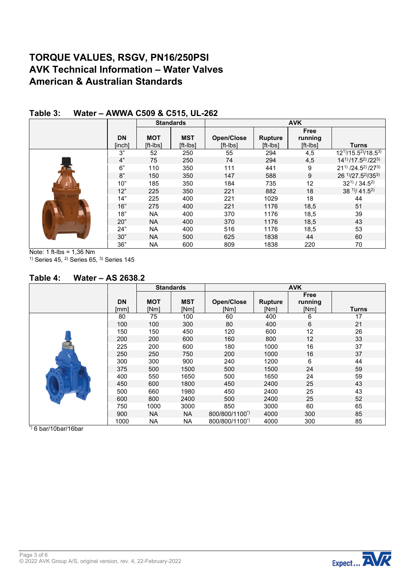## **TORQUE VALUES, RSGV, PN16/250PSI AVK Technical Information – Water Valves American & Australian Standards**

|                     |                        | <b>Standards</b>       |                               |                            | <b>AVK</b>                         |                                                |
|---------------------|------------------------|------------------------|-------------------------------|----------------------------|------------------------------------|------------------------------------------------|
| <b>DN</b><br>[inch] | <b>MOT</b><br>[ft-Ibs] | <b>MST</b><br>[ft-lbs] | <b>Open/Close</b><br>[ft-lbs] | <b>Rupture</b><br>[ft-lbs] | <b>Free</b><br>running<br>[ft-lbs] | <b>Turns</b>                                   |
| 3"                  | 52                     | 250                    | 55                            | 294                        | 4,5                                | $12^{11}/15.5^{21}/18.5^{31}$                  |
| 4"                  | 75                     | 250                    | 74                            | 294                        | 4,5                                | $14^{11}/17.5^{21}/22^{31}$                    |
| 6"                  | 110                    | 350                    | 111                           | 441                        | 9                                  | $21^{1}$ /24.5 <sup>2</sup> /27 <sup>3</sup> ) |
| 8"                  | 150                    | 350                    | 147                           | 588                        | 9                                  | 26 1)/27.52)/353)                              |
| 10"                 | 185                    | 350                    | 184                           | 735                        | 12                                 | $32^{11} / 34.5^{21}$                          |
| 12"                 | 225                    | 350                    | 221                           | 882                        | 18                                 | $38^{11}/ 41.5^{21}$                           |
| 14"                 | 225                    | 400                    | 221                           | 1029                       | 18                                 | 44                                             |
| 16"                 | 275                    | 400                    | 221                           | 1176                       | 18,5                               | 51                                             |
| 18"                 | <b>NA</b>              | 400                    | 370                           | 1176                       | 18,5                               | 39                                             |
| 20"                 | <b>NA</b>              | 400                    | 370                           | 1176                       | 18,5                               | 43                                             |
| 24"                 | <b>NA</b>              | 400                    | 516                           | 1176                       | 18,5                               | 53                                             |
| 30"                 | <b>NA</b>              | 500                    | 625                           | 1838                       | 44                                 | 60                                             |
| 36"                 | NA                     | 600                    | 809                           | 1838                       | 220                                | 70                                             |

#### **Table 3: Water – AWWA C509 & C515, UL-262**

Note: 1 ft-lbs = 1,36 Nm  $1)$  Series 45,  $2)$  Series 65,  $3)$  Series 145

#### **Table 4: Water – AS 2638.2**

|                   |                    | <b>Standards</b>   |                           |                        | <b>AVK</b>                     |              |
|-------------------|--------------------|--------------------|---------------------------|------------------------|--------------------------------|--------------|
| <b>DN</b><br>[mm] | <b>MOT</b><br>[Nm] | <b>MST</b><br>[Nm] | <b>Open/Close</b><br>[Nm] | <b>Rupture</b><br>[Nm] | <b>Free</b><br>running<br>[Nm] | <b>Turns</b> |
| 80                | 75                 | 100                | 60                        | 400                    | 6                              | 17           |
| 100               | 100                | 300                | 80                        | 400                    | 6                              | 21           |
| 150               | 150                | 450                | 120                       | 600                    | 12                             | 26           |
| 200               | 200                | 600                | 160                       | 800                    | $12 \overline{ }$              | 33           |
| 225               | 200                | 600                | 180                       | 1000                   | 16                             | 37           |
| 250               | 250                | 750                | 200                       | 1000                   | 16                             | 37           |
| 300               | 300                | 900                | 240                       | 1200                   | 6                              | 44           |
| 375               | 500                | 1500               | 500                       | 1500                   | 24                             | 59           |
| 400               | 550                | 1650               | 500                       | 1650                   | 24                             | 59           |
| 450               | 600                | 1800               | 450                       | 2400                   | 25                             | 43           |
| 500               | 660                | 1980               | 450                       | 2400                   | 25                             | 43           |
| 600               | 800                | 2400               | 500                       | 2400                   | 25                             | 52           |
| 750               | 1000               | 3000               | 850                       | 3000                   | 60                             | 65           |
| 900               | <b>NA</b>          | <b>NA</b>          | 800/800/1100*)            | 4000                   | 300                            | 85           |
| 1000              | NA                 | <b>NA</b>          | 800/800/1100*)            | 4000                   | 300                            | 85           |

 $*$ ) 6 bar/10bar/16bar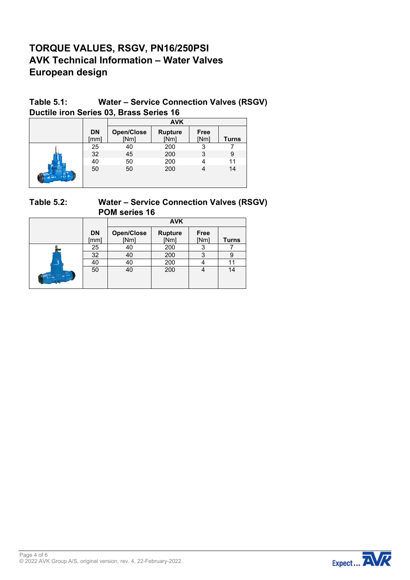# **TORQUE VALUES, RSGV, PN16/250PSI AVK Technical Information – Water Valves European design**

### **Table 5.1: Water – Service Connection Valves (RSGV) Ductile iron Series 03, Brass Series 16**

|               |                   |                           | <b>AVK</b>             |              |              |
|---------------|-------------------|---------------------------|------------------------|--------------|--------------|
|               | <b>DN</b><br>[mm] | <b>Open/Close</b><br>[Nm] | <b>Rupture</b><br>[Nm] | Free<br>[Nm] | <b>Turns</b> |
|               | 25                | 40                        | 200                    | 3            |              |
|               | 32                | 45                        | 200                    | 3            | 9            |
|               | 40                | 50                        | 200                    |              | 11           |
| of REAL BROAD | 50                | 50                        | 200                    |              | 14           |

### **Table 5.2: Water – Service Connection Valves (RSGV) POM series 16**

|                   |                           | <b>AVK</b>             |                     |              |
|-------------------|---------------------------|------------------------|---------------------|--------------|
| <b>DN</b><br>[mm] | <b>Open/Close</b><br>[Nm] | <b>Rupture</b><br>[Nm] | <b>Free</b><br>[Nm] | <b>Turns</b> |
| 25                | 40                        | 200                    |                     |              |
| 32                | 40                        | 200                    | 3                   |              |
| 40                | 40                        | 200                    |                     |              |
| 50                | 40                        | 200                    | 4                   | 14           |

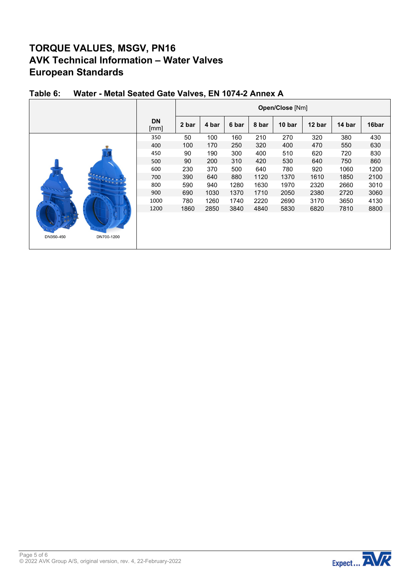# **TORQUE VALUES, MSGV, PN16 AVK Technical Information – Water Valves European Standards**

|                         |                   |       |       |       |       | Open/Close [Nm] |        |        |       |
|-------------------------|-------------------|-------|-------|-------|-------|-----------------|--------|--------|-------|
|                         | <b>DN</b><br>[mm] | 2 bar | 4 bar | 6 bar | 8 bar | 10 bar          | 12 bar | 14 bar | 16bar |
|                         | 350               | 50    | 100   | 160   | 210   | 270             | 320    | 380    | 430   |
|                         | 400               | 100   | 170   | 250   | 320   | 400             | 470    | 550    | 630   |
|                         | 450               | 90    | 190   | 300   | 400   | 510             | 620    | 720    | 830   |
|                         | 500               | 90    | 200   | 310   | 420   | 530             | 640    | 750    | 860   |
|                         | 600               | 230   | 370   | 500   | 640   | 780             | 920    | 1060   | 1200  |
|                         | 700               | 390   | 640   | 880   | 1120  | 1370            | 1610   | 1850   | 2100  |
|                         | 800               | 590   | 940   | 1280  | 1630  | 1970            | 2320   | 2660   | 3010  |
|                         | 900               | 690   | 1030  | 1370  | 1710  | 2050            | 2380   | 2720   | 3060  |
|                         | 1000              | 780   | 1260  | 1740  | 2220  | 2690            | 3170   | 3650   | 4130  |
|                         | 1200              | 1860  | 2850  | 3840  | 4840  | 5830            | 6820   | 7810   | 8800  |
| DN350-450<br>DN700-1200 |                   |       |       |       |       |                 |        |        |       |

### **Table 6: Water - Metal Seated Gate Valves, EN 1074-2 Annex A**